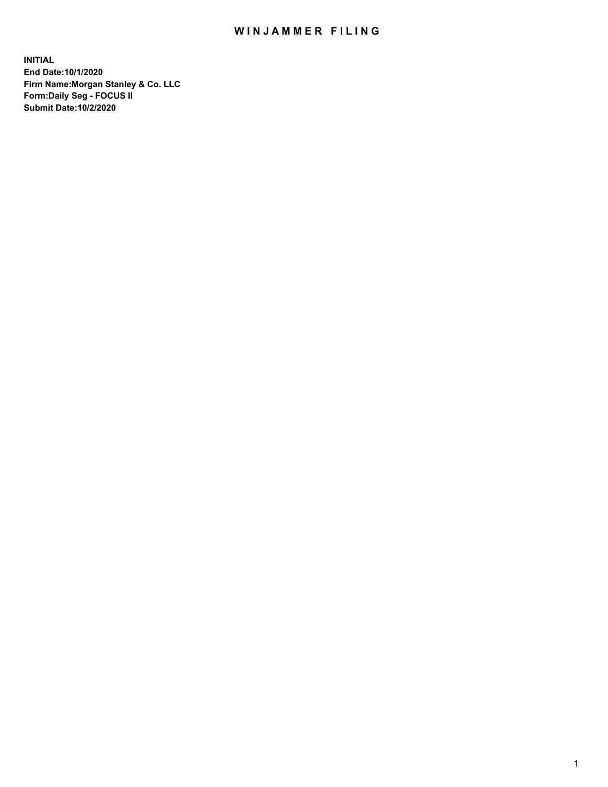## WIN JAMMER FILING

**INITIAL End Date:10/1/2020 Firm Name:Morgan Stanley & Co. LLC Form:Daily Seg - FOCUS II Submit Date:10/2/2020**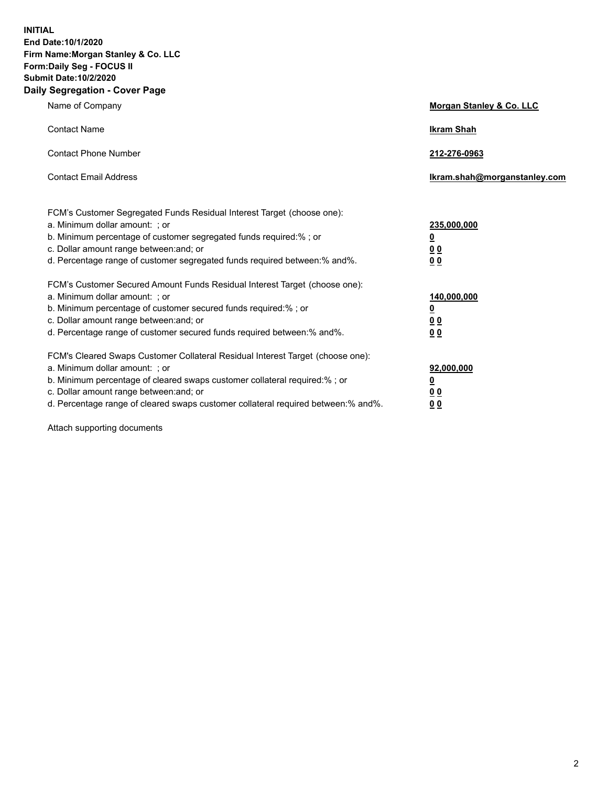**INITIAL End Date:10/1/2020 Firm Name:Morgan Stanley & Co. LLC Form:Daily Seg - FOCUS II Submit Date:10/2/2020 Daily Segregation - Cover Page**

| Name of Company                                                                                                                                                                                                                                                                                                                | Morgan Stanley & Co. LLC                                    |
|--------------------------------------------------------------------------------------------------------------------------------------------------------------------------------------------------------------------------------------------------------------------------------------------------------------------------------|-------------------------------------------------------------|
| <b>Contact Name</b>                                                                                                                                                                                                                                                                                                            | <b>Ikram Shah</b>                                           |
| <b>Contact Phone Number</b>                                                                                                                                                                                                                                                                                                    | 212-276-0963                                                |
| <b>Contact Email Address</b>                                                                                                                                                                                                                                                                                                   | Ikram.shah@morganstanley.com                                |
| FCM's Customer Segregated Funds Residual Interest Target (choose one):<br>a. Minimum dollar amount: ; or<br>b. Minimum percentage of customer segregated funds required:% ; or<br>c. Dollar amount range between: and; or<br>d. Percentage range of customer segregated funds required between:% and%.                         | 235,000,000<br><u>0</u><br><u>00</u><br>0 <sub>0</sub>      |
| FCM's Customer Secured Amount Funds Residual Interest Target (choose one):<br>a. Minimum dollar amount: ; or<br>b. Minimum percentage of customer secured funds required:% ; or<br>c. Dollar amount range between: and; or<br>d. Percentage range of customer secured funds required between:% and%.                           | 140,000,000<br><u>0</u><br>0 <sub>0</sub><br>0 <sub>0</sub> |
| FCM's Cleared Swaps Customer Collateral Residual Interest Target (choose one):<br>a. Minimum dollar amount: ; or<br>b. Minimum percentage of cleared swaps customer collateral required:% ; or<br>c. Dollar amount range between: and; or<br>d. Percentage range of cleared swaps customer collateral required between:% and%. | 92,000,000<br><u>0</u><br><u>00</u><br>00                   |

Attach supporting documents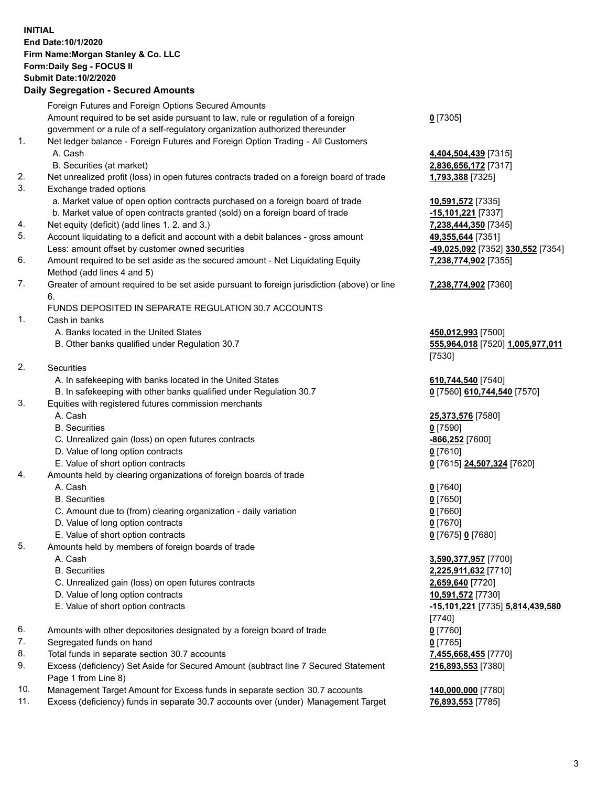## **INITIAL End Date:10/1/2020 Firm Name:Morgan Stanley & Co. LLC Form:Daily Seg - FOCUS II Submit Date:10/2/2020**

## **Daily Segregation - Secured Amounts**

|     | Foreign Futures and Foreign Options Secured Amounts                                                          |                                   |
|-----|--------------------------------------------------------------------------------------------------------------|-----------------------------------|
|     | Amount required to be set aside pursuant to law, rule or regulation of a foreign                             | $0$ [7305]                        |
|     | government or a rule of a self-regulatory organization authorized thereunder                                 |                                   |
| 1.  | Net ledger balance - Foreign Futures and Foreign Option Trading - All Customers                              |                                   |
|     | A. Cash                                                                                                      | 4,404,504,439 [7315]              |
|     | B. Securities (at market)                                                                                    | 2,836,656,172 [7317]              |
| 2.  | Net unrealized profit (loss) in open futures contracts traded on a foreign board of trade                    | 1,793,388 [7325]                  |
| 3.  | Exchange traded options                                                                                      |                                   |
|     | a. Market value of open option contracts purchased on a foreign board of trade                               | 10,591,572 [7335]                 |
|     | b. Market value of open contracts granted (sold) on a foreign board of trade                                 | -15,101,221 [7337]                |
| 4.  | Net equity (deficit) (add lines 1.2. and 3.)                                                                 | 7,238,444,350 [7345]              |
| 5.  | Account liquidating to a deficit and account with a debit balances - gross amount                            | 49,355,644 [7351]                 |
|     | Less: amount offset by customer owned securities                                                             | -49,025,092 [7352] 330,552 [7354] |
| 6.  | Amount required to be set aside as the secured amount - Net Liquidating Equity<br>Method (add lines 4 and 5) | 7,238,774,902 [7355]              |
| 7.  | Greater of amount required to be set aside pursuant to foreign jurisdiction (above) or line                  | 7,238,774,902 [7360]              |
|     | 6.                                                                                                           |                                   |
|     | FUNDS DEPOSITED IN SEPARATE REGULATION 30.7 ACCOUNTS                                                         |                                   |
| 1.  | Cash in banks                                                                                                |                                   |
|     | A. Banks located in the United States                                                                        | 450,012,993 [7500]                |
|     | B. Other banks qualified under Regulation 30.7                                                               | 555,964,018 [7520] 1,005,977,011  |
|     |                                                                                                              | [7530]                            |
| 2.  | Securities                                                                                                   |                                   |
|     | A. In safekeeping with banks located in the United States                                                    | 610,744,540 [7540]                |
|     | B. In safekeeping with other banks qualified under Regulation 30.7                                           | 0 [7560] 610,744,540 [7570]       |
| 3.  | Equities with registered futures commission merchants                                                        |                                   |
|     | A. Cash                                                                                                      | 25,373,576 [7580]                 |
|     | <b>B.</b> Securities                                                                                         | $0$ [7590]                        |
|     | C. Unrealized gain (loss) on open futures contracts                                                          | -866,252 [7600]                   |
|     | D. Value of long option contracts                                                                            | $0$ [7610]                        |
|     | E. Value of short option contracts                                                                           | 0 [7615] 24,507,324 [7620]        |
| 4.  | Amounts held by clearing organizations of foreign boards of trade                                            |                                   |
|     | A. Cash                                                                                                      | $0$ [7640]                        |
|     | <b>B.</b> Securities                                                                                         | $0$ [7650]                        |
|     | C. Amount due to (from) clearing organization - daily variation                                              | $0$ [7660]                        |
|     | D. Value of long option contracts                                                                            | $0$ [7670]                        |
|     | E. Value of short option contracts                                                                           | 0 [7675] 0 [7680]                 |
| 5.  | Amounts held by members of foreign boards of trade                                                           |                                   |
|     | A. Cash                                                                                                      | 3,590,377,957 [7700]              |
|     | <b>B.</b> Securities                                                                                         | 2,225,911,632 [7710]              |
|     | C. Unrealized gain (loss) on open futures contracts                                                          | 2,659,640 [7720]                  |
|     | D. Value of long option contracts                                                                            | 10,591,572 [7730]                 |
|     | E. Value of short option contracts                                                                           | -15,101,221 [7735] 5,814,439,580  |
|     |                                                                                                              | [7740]                            |
| 6.  | Amounts with other depositories designated by a foreign board of trade                                       | $0$ [7760]                        |
| 7.  | Segregated funds on hand                                                                                     | $0$ [7765]                        |
| 8.  | Total funds in separate section 30.7 accounts                                                                | 7,455,668,455 [7770]              |
| 9.  | Excess (deficiency) Set Aside for Secured Amount (subtract line 7 Secured Statement<br>Page 1 from Line 8)   | 216,893,553 [7380]                |
| 10. | Management Target Amount for Excess funds in separate section 30.7 accounts                                  | 140,000,000 [7780]                |
|     |                                                                                                              |                                   |

11. Excess (deficiency) funds in separate 30.7 accounts over (under) Management Target **76,893,553** [7785]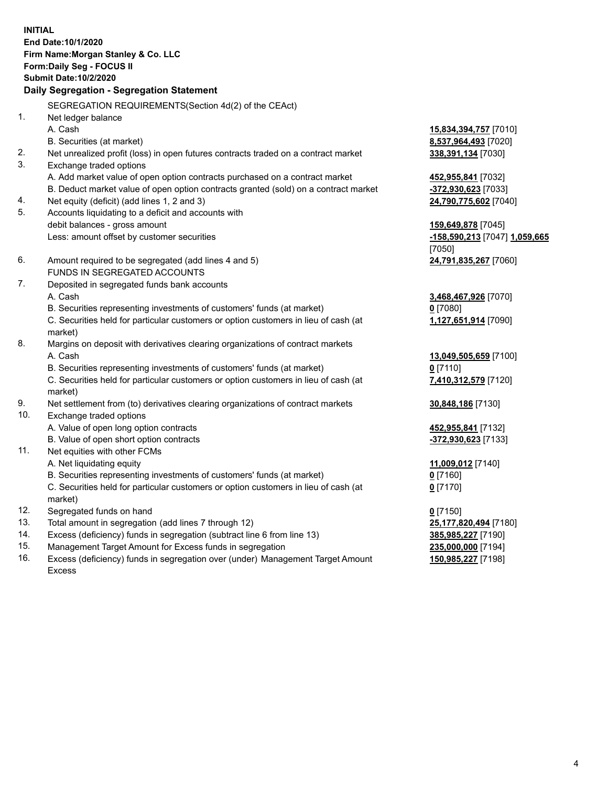**INITIAL End Date:10/1/2020 Firm Name:Morgan Stanley & Co. LLC Form:Daily Seg - FOCUS II Submit Date:10/2/2020 Daily Segregation - Segregation Statement** SEGREGATION REQUIREMENTS(Section 4d(2) of the CEAct) 1. Net ledger balance A. Cash **15,834,394,757** [7010] B. Securities (at market) **8,537,964,493** [7020] 2. Net unrealized profit (loss) in open futures contracts traded on a contract market **338,391,134** [7030] 3. Exchange traded options A. Add market value of open option contracts purchased on a contract market **452,955,841** [7032] B. Deduct market value of open option contracts granted (sold) on a contract market **-372,930,623** [7033] 4. Net equity (deficit) (add lines 1, 2 and 3) **24,790,775,602** [7040] 5. Accounts liquidating to a deficit and accounts with debit balances - gross amount **159,649,878** [7045] Less: amount offset by customer securities **-158,590,213** [7047] **1,059,665** [7050] 6. Amount required to be segregated (add lines 4 and 5) **24,791,835,267** [7060] FUNDS IN SEGREGATED ACCOUNTS 7. Deposited in segregated funds bank accounts A. Cash **3,468,467,926** [7070] B. Securities representing investments of customers' funds (at market) **0** [7080] C. Securities held for particular customers or option customers in lieu of cash (at market) **1,127,651,914** [7090] 8. Margins on deposit with derivatives clearing organizations of contract markets A. Cash **13,049,505,659** [7100] B. Securities representing investments of customers' funds (at market) **0** [7110] C. Securities held for particular customers or option customers in lieu of cash (at market) **7,410,312,579** [7120] 9. Net settlement from (to) derivatives clearing organizations of contract markets **30,848,186** [7130] 10. Exchange traded options A. Value of open long option contracts **452,955,841** [7132] B. Value of open short option contracts **and the set of open short option contracts -372,930,623** [7133] 11. Net equities with other FCMs A. Net liquidating equity **11,009,012** [7140] B. Securities representing investments of customers' funds (at market) **0** [7160] C. Securities held for particular customers or option customers in lieu of cash (at market) **0** [7170] 12. Segregated funds on hand **0** [7150] 13. Total amount in segregation (add lines 7 through 12) **25,177,820,494** [7180] 14. Excess (deficiency) funds in segregation (subtract line 6 from line 13) **385,985,227** [7190] 15. Management Target Amount for Excess funds in segregation **235,000,000** [7194]

16. Excess (deficiency) funds in segregation over (under) Management Target Amount Excess

**150,985,227** [7198]